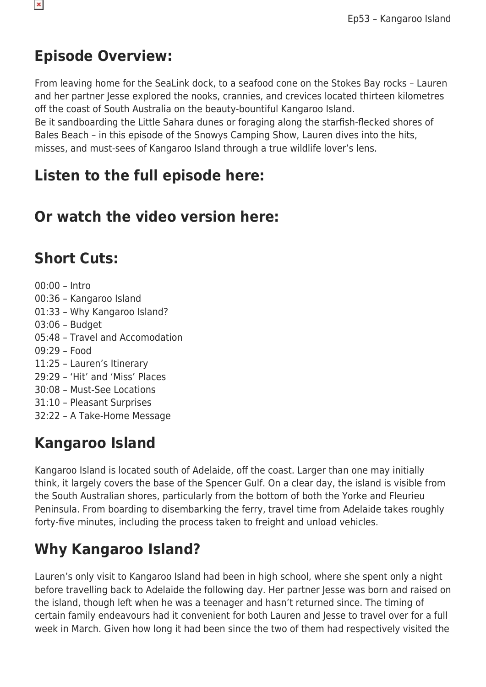### **Episode Overview:**

From leaving home for the SeaLink dock, to a seafood cone on the Stokes Bay rocks – Lauren and her partner Jesse explored the nooks, crannies, and crevices located thirteen kilometres off the coast of South Australia on the beauty-bountiful Kangaroo Island.

Be it sandboarding the Little Sahara dunes or foraging along the starfish-flecked shores of Bales Beach – in this episode of the Snowys Camping Show, Lauren dives into the hits, misses, and must-sees of Kangaroo Island through a true wildlife lover's lens.

#### **Listen to the full episode here:**

#### **Or watch the video version here:**

#### **Short Cuts:**

00:00 – Intro 00:36 – Kangaroo Island 01:33 – Why Kangaroo Island? 03:06 – Budget 05:48 – Travel and Accomodation 09:29 – Food 11:25 – Lauren's Itinerary 29:29 – 'Hit' and 'Miss' Places 30:08 – Must-See Locations 31:10 – Pleasant Surprises 32:22 – A Take-Home Message

# **Kangaroo Island**

Kangaroo Island is located south of Adelaide, off the coast. Larger than one may initially think, it largely covers the base of the Spencer Gulf. On a clear day, the island is visible from the South Australian shores, particularly from the bottom of both the Yorke and Fleurieu Peninsula. From boarding to disembarking the ferry, travel time from Adelaide takes roughly forty-five minutes, including the process taken to freight and unload vehicles.

# **Why Kangaroo Island?**

Lauren's only visit to Kangaroo Island had been in high school, where she spent only a night before travelling back to Adelaide the following day. Her partner Jesse was born and raised on the island, though left when he was a teenager and hasn't returned since. The timing of certain family endeavours had it convenient for both Lauren and Jesse to travel over for a full week in March. Given how long it had been since the two of them had respectively visited the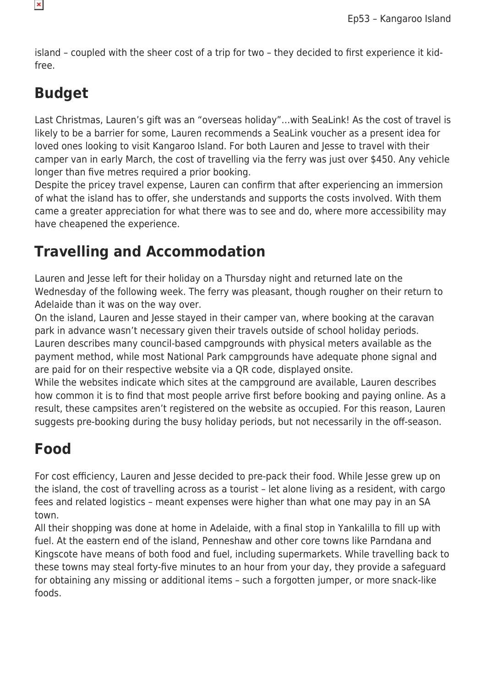island – coupled with the sheer cost of a trip for two – they decided to first experience it kidfree.

# **Budget**

Last Christmas, Lauren's gift was an "overseas holiday"…with SeaLink! As the cost of travel is likely to be a barrier for some, Lauren recommends a SeaLink voucher as a present idea for loved ones looking to visit Kangaroo Island. For both Lauren and Jesse to travel with their camper van in early March, the cost of travelling via the ferry was just over \$450. Any vehicle longer than five metres required a prior booking.

Despite the pricey travel expense, Lauren can confirm that after experiencing an immersion of what the island has to offer, she understands and supports the costs involved. With them came a greater appreciation for what there was to see and do, where more accessibility may have cheapened the experience.

### **Travelling and Accommodation**

Lauren and Jesse left for their holiday on a Thursday night and returned late on the Wednesday of the following week. The ferry was pleasant, though rougher on their return to Adelaide than it was on the way over.

On the island, Lauren and Jesse stayed in their camper van, where booking at the caravan park in advance wasn't necessary given their travels outside of school holiday periods. Lauren describes many council-based campgrounds with physical meters available as the payment method, while most National Park campgrounds have adequate phone signal and are paid for on their respective website via a QR code, displayed onsite.

While the websites indicate which sites at the campground are available, Lauren describes how common it is to find that most people arrive first before booking and paying online. As a result, these campsites aren't registered on the website as occupied. For this reason, Lauren suggests pre-booking during the busy holiday periods, but not necessarily in the off-season.

### **Food**

For cost efficiency, Lauren and Jesse decided to pre-pack their food. While Jesse grew up on the island, the cost of travelling across as a tourist – let alone living as a resident, with cargo fees and related logistics – meant expenses were higher than what one may pay in an SA town.

All their shopping was done at home in Adelaide, with a final stop in Yankalilla to fill up with fuel. At the eastern end of the island, Penneshaw and other core towns like Parndana and Kingscote have means of both food and fuel, including supermarkets. While travelling back to these towns may steal forty-five minutes to an hour from your day, they provide a safeguard for obtaining any missing or additional items – such a forgotten jumper, or more snack-like foods.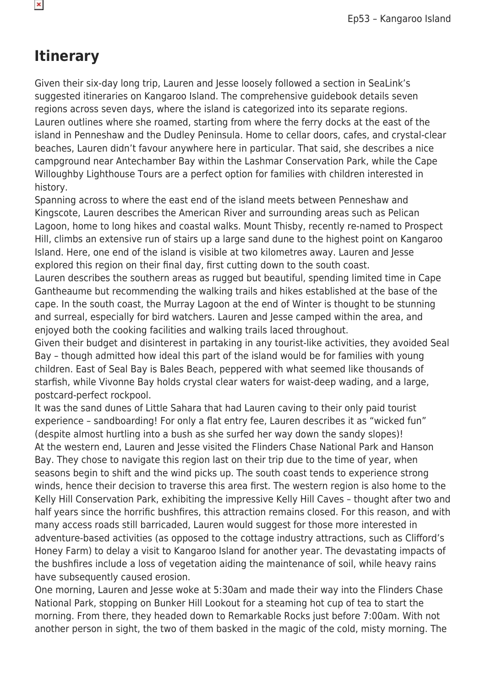#### **Itinerary**

Given their six-day long trip, Lauren and Jesse loosely followed a section in SeaLink's suggested itineraries on Kangaroo Island. The comprehensive guidebook details seven regions across seven days, where the island is categorized into its separate regions. Lauren outlines where she roamed, starting from where the ferry docks at the east of the island in Penneshaw and the Dudley Peninsula. Home to cellar doors, cafes, and crystal-clear beaches, Lauren didn't favour anywhere here in particular. That said, she describes a nice campground near Antechamber Bay within the Lashmar Conservation Park, while the Cape Willoughby Lighthouse Tours are a perfect option for families with children interested in history.

Spanning across to where the east end of the island meets between Penneshaw and Kingscote, Lauren describes the American River and surrounding areas such as Pelican Lagoon, home to long hikes and coastal walks. Mount Thisby, recently re-named to Prospect Hill, climbs an extensive run of stairs up a large sand dune to the highest point on Kangaroo Island. Here, one end of the island is visible at two kilometres away. Lauren and Jesse explored this region on their final day, first cutting down to the south coast.

Lauren describes the southern areas as rugged but beautiful, spending limited time in Cape Gantheaume but recommending the walking trails and hikes established at the base of the cape. In the south coast, the Murray Lagoon at the end of Winter is thought to be stunning and surreal, especially for bird watchers. Lauren and Jesse camped within the area, and enjoyed both the cooking facilities and walking trails laced throughout.

Given their budget and disinterest in partaking in any tourist-like activities, they avoided Seal Bay – though admitted how ideal this part of the island would be for families with young children. East of Seal Bay is Bales Beach, peppered with what seemed like thousands of starfish, while Vivonne Bay holds crystal clear waters for waist-deep wading, and a large, postcard-perfect rockpool.

It was the sand dunes of Little Sahara that had Lauren caving to their only paid tourist experience – sandboarding! For only a flat entry fee, Lauren describes it as "wicked fun" (despite almost hurtling into a bush as she surfed her way down the sandy slopes)! At the western end, Lauren and Jesse visited the Flinders Chase National Park and Hanson Bay. They chose to navigate this region last on their trip due to the time of year, when seasons begin to shift and the wind picks up. The south coast tends to experience strong winds, hence their decision to traverse this area first. The western region is also home to the Kelly Hill Conservation Park, exhibiting the impressive Kelly Hill Caves – thought after two and half years since the horrific bushfires, this attraction remains closed. For this reason, and with many access roads still barricaded, Lauren would suggest for those more interested in adventure-based activities (as opposed to the cottage industry attractions, such as Clifford's Honey Farm) to delay a visit to Kangaroo Island for another year. The devastating impacts of the bushfires include a loss of vegetation aiding the maintenance of soil, while heavy rains have subsequently caused erosion.

One morning, Lauren and Jesse woke at 5:30am and made their way into the Flinders Chase National Park, stopping on Bunker Hill Lookout for a steaming hot cup of tea to start the morning. From there, they headed down to Remarkable Rocks just before 7:00am. With not another person in sight, the two of them basked in the magic of the cold, misty morning. The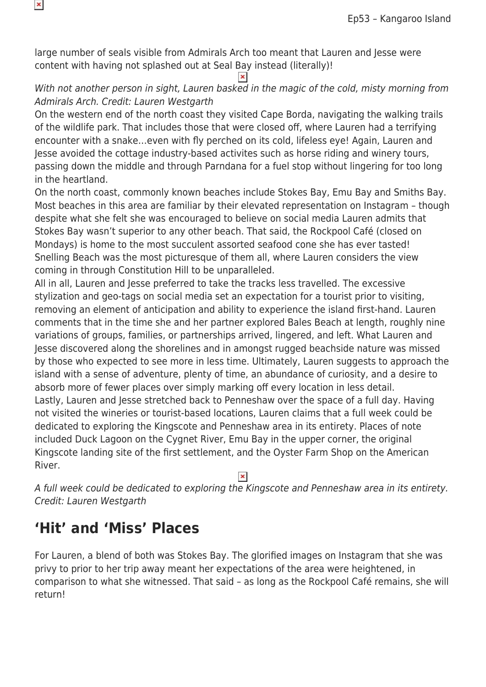large number of seals visible from Admirals Arch too meant that Lauren and Jesse were content with having not splashed out at Seal Bay instead (literally)!

 $\pmb{\times}$ 

#### With not another person in sight, Lauren basked in the magic of the cold, misty morning from Admirals Arch. Credit: Lauren Westgarth

On the western end of the north coast they visited Cape Borda, navigating the walking trails of the wildlife park. That includes those that were closed off, where Lauren had a terrifying encounter with a snake…even with fly perched on its cold, lifeless eye! Again, Lauren and Jesse avoided the cottage industry-based activites such as horse riding and winery tours, passing down the middle and through Parndana for a fuel stop without lingering for too long in the heartland.

On the north coast, commonly known beaches include Stokes Bay, Emu Bay and Smiths Bay. Most beaches in this area are familiar by their elevated representation on Instagram – though despite what she felt she was encouraged to believe on social media Lauren admits that Stokes Bay wasn't superior to any other beach. That said, the Rockpool Café (closed on Mondays) is home to the most succulent assorted seafood cone she has ever tasted! Snelling Beach was the most picturesque of them all, where Lauren considers the view coming in through Constitution Hill to be unparalleled.

All in all, Lauren and Jesse preferred to take the tracks less travelled. The excessive stylization and geo-tags on social media set an expectation for a tourist prior to visiting, removing an element of anticipation and ability to experience the island first-hand. Lauren comments that in the time she and her partner explored Bales Beach at length, roughly nine variations of groups, families, or partnerships arrived, lingered, and left. What Lauren and Jesse discovered along the shorelines and in amongst rugged beachside nature was missed by those who expected to see more in less time. Ultimately, Lauren suggests to approach the island with a sense of adventure, plenty of time, an abundance of curiosity, and a desire to absorb more of fewer places over simply marking off every location in less detail. Lastly, Lauren and Jesse stretched back to Penneshaw over the space of a full day. Having not visited the wineries or tourist-based locations, Lauren claims that a full week could be dedicated to exploring the Kingscote and Penneshaw area in its entirety. Places of note included Duck Lagoon on the Cygnet River, Emu Bay in the upper corner, the original Kingscote landing site of the first settlement, and the Oyster Farm Shop on the American River.

A full week could be dedicated to exploring the Kingscote and Penneshaw area in its entirety. Credit: Lauren Westgarth

#### **'Hit' and 'Miss' Places**

 $\pmb{\times}$ 

For Lauren, a blend of both was Stokes Bay. The glorified images on Instagram that she was privy to prior to her trip away meant her expectations of the area were heightened, in comparison to what she witnessed. That said – as long as the Rockpool Café remains, she will return!